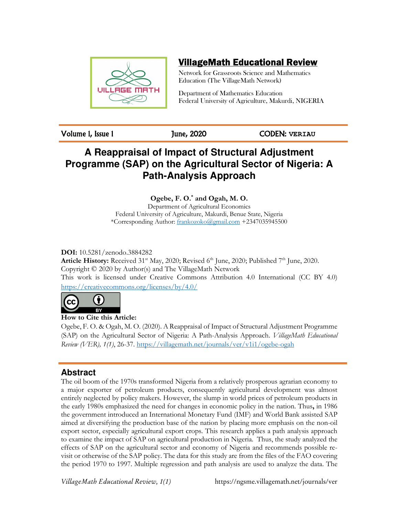

# VillageMath Educational Review

Network for Grassroots Science and Mathematics Education (The VillageMath Network)

Department of Mathematics Education Federal University of Agriculture, Makurdi, NIGERIA

Volume 1, Issue 1 June, 2020 CODEN: **VERIAU**

# **A Reappraisal of Impact of Structural Adjustment Programme (SAP) on the Agricultural Sector of Nigeria: A Path-Analysis Approach**

# **Ogebe, F. O.\* and Ogah, M. O.**

Department of Agricultural Economics Federal University of Agriculture, Makurdi, Benue State, Nigeria \*Corresponding Author: frankozoko@gmail.com +2347035945500

# **DOI:** 10.5281/zenodo.3884282

**Article History:** Received 31<sup>st</sup> May, 2020; Revised 6<sup>th</sup> June, 2020; Published 7<sup>th</sup> June, 2020. Copyright © 2020 by Author(s) and The VillageMath Network This work is licensed under Creative Commons Attribution 4.0 International (CC BY 4.0) https://creativecommons.org/licenses/by/4.0/



**How to Cite this Article:** 

Ogebe, F. O. & Ogah, M. O. (2020). A Reappraisal of Impact of Structural Adjustment Programme (SAP) on the Agricultural Sector of Nigeria: A Path-Analysis Approach. *VillageMath Educational Review (VER), 1(1)*, 26-37. https://villagemath.net/journals/ver/v1i1/ogebe-ogah

# **Abstract**

The oil boom of the 1970s transformed Nigeria from a relatively prosperous agrarian economy to a major exporter of petroleum products, consequently agricultural development was almost entirely neglected by policy makers. However, the slump in world prices of petroleum products in the early 1980s emphasized the need for changes in economic policy in the nation. Thus**,** in 1986 the government introduced an International Monetary Fund (IMF) and World Bank assisted SAP aimed at diversifying the production base of the nation by placing more emphasis on the non-oil export sector, especially agricultural export crops. This research applies a path analysis approach to examine the impact of SAP on agricultural production in Nigeria. Thus, the study analyzed the effects of SAP on the agricultural sector and economy of Nigeria and recommends possible revisit or otherwise of the SAP policy. The data for this study are from the files of the FAO covering the period 1970 to 1997. Multiple regression and path analysis are used to analyze the data. The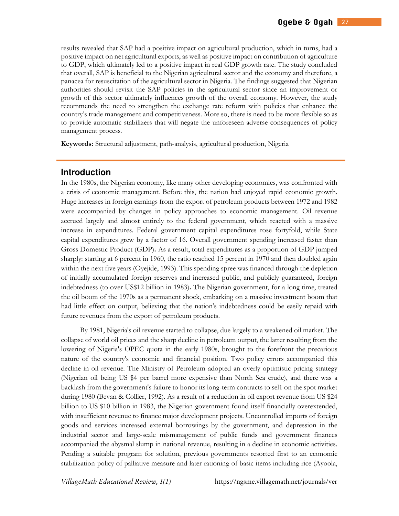results revealed that SAP had a positive impact on agricultural production, which in turns, had a positive impact on net agricultural exports, as well as positive impact on contribution of agriculture to GDP, which ultimately led to a positive impact in real GDP growth rate. The study concluded that overall, SAP is beneficial to the Nigerian agricultural sector and the economy and therefore, a panacea for resuscitation of the agricultural sector in Nigeria. The findings suggested that Nigerian authorities should revisit the SAP policies in the agricultural sector since an improvement or growth of this sector ultimately influences growth of the overall economy. However, the study recommends the need to strengthen the exchange rate reform with policies that enhance the country's trade management and competitiveness. More so, there is need to be more flexible so as to provide automatic stabilizers that will negate the unforeseen adverse consequences of policy management process.

**Keywords:** Structural adjustment, path-analysis, agricultural production, Nigeria

## **Introduction**

In the 1980s, the Nigerian economy, like many other developing economies, was confronted with a crisis of economic management. Before this, the nation had enjoyed rapid economic growth. Huge increases in foreign earnings from the export of petroleum products between 1972 and 1982 were accompanied by changes in policy approaches to economic management. Oil revenue accrued largely and almost entirely to the federal government, which reacted with a massive increase in expenditures. Federal government capital expenditures rose fortyfold, while State capital expenditures grew by a factor of 16. Overall government spending increased faster than Gross Domestic Product (GDP)**.** As a result, total expenditures as a proportion of GDP jumped sharply: starting at 6 percent in 1960, the ratio reached 15 percent in 1970 and then doubled again within the next five years (Oyejide, 1993). This spending spree was financed through th**e** depletion of initially accumulated foreign reserves and increased public, and publicly guaranteed, foreign indebtedness (to over US\$12 billion in 1983)**.** The Nigerian government, for a long time, treated the oil boom of the 1970s as a permanent shock, embarking on a massive investment boom that had little effect on output, believing that the nation's indebtedness could be easily repaid with future revenues from the export of petroleum products.

By 1981, Nigeria's oil revenue started to collapse, due largely to a weakened oil market. The collapse of world oil prices and the sharp decline in petroleum output, the latter resulting from the lowering of Nigeria's OPEC quota in the early 1980s, brought to the forefront the precarious nature of the country's economic and financial position. Two policy errors accompanied this decline in oil revenue. The Ministry of Petroleum adopted an overly optimistic pricing strategy (Nigerian oil being US \$4 per barrel more expensive than North Sea crude), and there was a backlash from the government's failure to honor its long-term contracts to sel1 on the spot market during 1980 (Bevan & Collier, 1992). As a result of a reduction in oil export revenue from US \$24 billion to US \$10 billion in 1983, the Nigerian government found itself financially overextended, with insufficient revenue to finance major development projects. Uncontrolled imports of foreign goods and services increased external borrowings by the government, and depression in the industrial sector and large-scale mismanagement of public funds and government finances accompanied the abysmal slump in national revenue, resulting in a decline in economic activities. Pending a suitable program for solution, previous governments resorted first to an economic stabilization policy of palliative measure and later rationing of basic items including rice (Ayoola,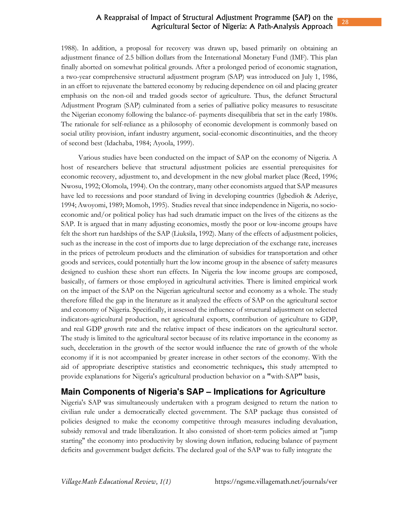## A Reappraisal of Impact of Structural Adjustment Programme (SAP) on the Agricultural Sector of Nigeria: A Path-Analysis Approach

1988). In addition, a proposal for recovery was drawn up, based primarily on obtaining an adjustment finance of 2.5 billion dollars from the International Monetary Fund (IMF). This plan finally aborted on somewhat political grounds. After a prolonged period of economic stagnation, a two-year comprehensive structural adjustment program (SAP) was introduced on July 1, 1986, in an effort to rejuvenate the battered economy by reducing dependence on oil and placing greater emphasis on the non-oil and traded goods sector of agriculture. Thus, the defunct Structural Adjustment Program (SAP) culminated from a series of palliative policy measures to resuscitate the Nigerian economy following the balance-of- payments disequilibria that set in the early 1980s. The rationale for self-reliance as a philosophy of economic development is commonly based on social utility provision, infant industry argument, social-economic discontinuities, and the theory of second best (Idachaba, 1984; Ayoola, 1999).

Various studies have been conducted on the impact of SAP on the economy of Nigeria. A host of researchers believe that structural adjustment policies are essential prerequisites for economic recovery, adjustment to, and development in the new global market place (Reed, 1996; Nwosu, 1992; Olomola, 1994). On the contrary, many other economists argued that SAP measures have led to recessions and poor standard of living in developing countries (Igbedioh & Aderiye, 1994; Awoyomi, 1989; Momoh, 1995). Studies reveal that since independence in Nigeria, no socioeconomic and/or political policy has had such dramatic impact on the lives of the citizens as the SAP. It is argued that in many adjusting economies, mostly the poor or low-income groups have felt the short run hardships of the SAP (Liuksila, 1992). Many of the effects of adjustment policies, such as the increase in the cost of imports due to large depreciation of the exchange rate, increases in the prices of petroleum products and the elimination of subsidies for transportation and other goods and services, could potentially hurt the low income group in the absence of safety measures designed to cushion these short run effects. In Nigeria the low income groups are composed, basically, of farmers or those employed in agricultural activities. There is limited empirical work on the impact of the SAP on the Nigerian agricultural sector and economy as a whole. The study therefore filled the gap in the literature as it analyzed the effects of SAP on the agricultural sector and economy of Nigeria. Specifically, it assessed the influence of structural adjustment on selected indicators-agricultural production, net agricultural exports, contribution of agriculture to GDP, and real GDP growth rate and the relative impact of these indicators on the agricultural sector. The study is limited to the agricultural sector because of its relative importance in the economy as such, deceleration in the growth of the sector would influence the rate of growth of the whole economy if it is not accompanied by greater increase in other sectors of the economy. With the aid of appropriate descriptive statistics and econometric techniques**,** this study attempted to provide explanations for Nigeria's agricultural production behavior on a **"**with-SAP**"** basis,

# **Main Components of Nigeria's SAP – Implications for Agriculture**

Nigeria's SAP was simultaneously undertaken with a program designed to return the nation to civilian rule under a democratically elected government. The SAP package thus consisted of policies designed to make the economy competitive through measures including devaluation, subsidy removal and trade liberalization. It also consisted of short-term policies aimed at "jump starting" the economy into productivity by slowing down inflation, reducing balance of payment deficits and government budget deficits. The declared goal of the SAP was to fully integrate the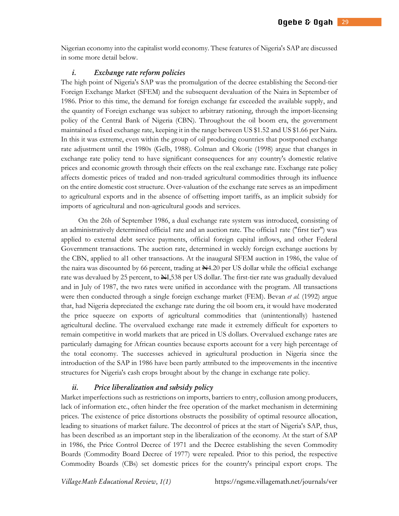Nigerian economy into the capitalist world economy. These features of Nigeria's SAP are discussed in some more detail below.

#### *i*. Exchange rate reform policies

The high point of Nigeria's SAP was the promulgation of the decree establishing the Second-tier Foreign Exchange Market (SFEM) and the subsequent devaluation of the Naira in September of 1986. Prior to this time, the demand for foreign exchange far exceeded the available supply, and the quantity of Foreign exchange was subject to arbitrary rationing, through the import-licensing policy of the Central Bank of Nigeria (CBN). Throughout the oil boom era, the government maintained a fixed exchange rate, keeping it in the range between US \$1.52 and US \$1.66 per Naira. In this it was extreme, even within the group of oil producing countries that postponed exchange rate adjustment until the 1980s (Gelb, 1988). Colman and Okorie (1998) argue that changes in exchange rate policy tend to have significant consequences for any country's domestic relative prices and economic growth through their effects on the real exchange rate. Exchange rate policy affects domestic prices of traded and non-traded agricultural commodities through its influence on the entire domestic cost structure. Over-valuation of the exchange rate serves as an impediment to agricultural exports and in the absence of offsetting import tariffs, as an implicit subsidy for imports of agricultural and non-agricultural goods and services.

On the 26h of September 1986, a dual exchange rate system was introduced, consisting of an administratively determined officia1 rate and an auction rate. The officia1 rate ("first tier") was applied to external debt service payments, official foreign capital inflows, and other Federal Government transactions. The auction rate, determined in weekly foreign exchange auctions by the CBN, applied to al1 other transactions. At the inaugural SFEM auction in 1986, the value of the naira was discounted by 66 percent, trading at  $\mathbb{N}4.20$  per US dollar while the official exchange rate was devalued by 25 percent, to  $\frac{N}{2538}$  per US dollar. The first-tier rate was gradually devalued and in July of 1987, the two rates were unified in accordance with the program. All transactions were then conducted through a single foreign exchange market (FEM). Bevan *et al.* (1992) argue that, had Nigeria depreciated the exchange rate during the oil boom era, it would have moderated the price squeeze on exports of agricultural commodities that (unintentionally) hastened agricultural decline. The overvalued exchange rate made it extremely difficult for exporters to remain competitive in world markets that are priced in US dollars. Overvalued exchange rates are particularly damaging for African counties because exports account for a very high percentage of the total economy. The successes achieved in agricultural production in Nigeria since the introduction of the SAP in 1986 have been partly attributed to the improvements in the incentive structures for Nigeria's cash crops brought about by the change in exchange rate policy.

#### *ii.* Price liberalization and subsidy policy

Market imperfections such as restrictions on imports, barriers to entry, collusion among producers, lack of information etc., often hinder the free operation of the market mechanism in determining prices. The existence of price distortions obstructs the possibility of optimal resource allocation, leading to situations of market failure. The decontrol of prices at the start of Nigeria's SAP, thus, has been described as an important step in the liberalization of the economy. At the start of SAP in 1986, the Price Control Decree of 1971 and the Decree establishing the seven Commodity Boards (Commodity Board Decree of 1977) were repealed. Prior to this period, the respective Commodity Boards (CBs) set domestic prices for the country's principal export crops. The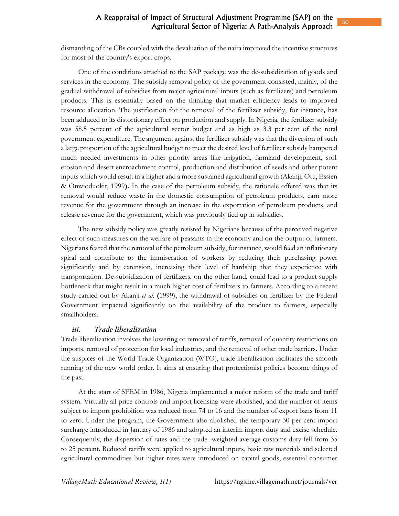dismantling of the CBs coupled with the devaluation of the naira improved the incentive structures for most of the country's export crops.

One of the conditions attached to the SAP package was the de-subsidization of goods and services in the economy. The subsidy removal policy of the government consisted, mainly, of the gradual withdrawal of subsidies from major agricultural inputs (such as fertilizers) and petroleum products. This is essentially based on the thinking that market efficiency leads to improved resource allocation. The justification for the removal of the fertilizer subsidy, for instance**,** has been adduced to its distortionary effect on production and supply. In Nigeria, the fertilizer subsidy was 58.5 percent of the agricultural sector budget and as high as 3.3 per cent of the total government expenditure. The argument against the fertilizer subsidy was that the diversion of such a large proportion of the agricultural budget to meet the desired level of fertilizer subsidy hampered much needed investments in other priority areas like irrigation, farmland development, soi1 erosion and desert encroachment control, production and distribution of seeds and other potent inputs which would result in a higher and a more sustained agricultural growth (Akanji, Otu, Essien & Onwioduokit, 1999**).** In the case of the petroleum subsidy, the rationale offered was that its removal would reduce waste in the domestic consumption of petroleum products, earn more revenue for the government through an increase in the exportation of petroleum products, and release revenue for the government, which was previously tied up in subsidies.

The new subsidy policy was greatly resisted by Nigerians because of the perceived negative effect of such measures on the welfare of peasants in the economy and on the output of farmers. Nigerians feared that the removal of the petroleum subsidy, for instance, would feed an inflationary spiral and contribute to the immiseration of workers by reducing their purchasing power significantly and by extension, increasing their level of hardship that they experience with transportation. De-subsidization of fertilizers, on the other hand, could lead to a product supply bottleneck that might result in a much higher cost of fertilizers to farmers. According to a recent study carried out by Akanji *et al.* **(**1999), the withdrawal of subsidies on fertilizer by the Federal Government impacted significantly on the availability of the product to farmers, especially smallholders.

#### *iii.* Trade liberalization

Trade liberalization involves the lowering or removal of tariffs, removal of quantity restrictions on imports, removal of protection for local industries, and the removal of other trade barriers**.** Under the auspices of the World Trade Organization (WTO), trade liberalization facilitates the smooth running of the new world order. It aims at ensuring that protectionist policies become things of the past.

At the start of SFEM in 1986, Nigeria implemented a major reform of the trade and tariff system. Virtually all price controls and import licensing were abolished, and the number of items subject to import prohibition was reduced from 74 to 16 and the number of export bans from 11 to zero. Under the program, the Government also abolished the temporary 30 per cent import surcharge introduced in January of 1986 and adopted an interim import duty and excise schedule. Consequently, the dispersion of rates and the trade -weighted average customs duty fell from 35 to 25 percent. Reduced tariffs were applied to agricultural inputs, basic raw materials and selected agricultural commodities but higher rates were introduced on capital goods, essential consumer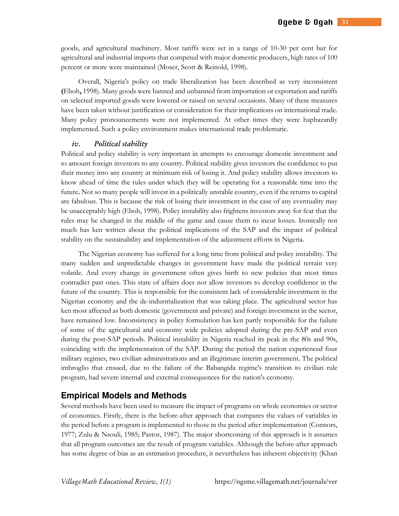goods, and agricultural machinery. Most tariffs were set in a range of 10-30 per cent but for agricultural and industrial imports that competed with major domestic producers, high rates of 100 percent or more were maintained (Moser, Scott & Reinold, 1998).

Overall, Nigeria's policy on trade liberalization has been described as very inconsistent **(**Eboh**,** 1998). Many goods were banned and unbanned from importation or exportation and tariffs on selected imported goods were lowered or raised on several occasions. Many of these measures have been taken without justification or consideration for their implications on international trade. Many policy pronouncements were not implemented. At other times they were haphazardly implemented. Such a policy environment makes international trade problematic.

#### *iv.* Political stability

Political and policy stability is very important in attempts to encourage domestic investment and to amount foreign investors to any country. Political stability gives investors the confidence to put their money into any country at minimum risk of losing it. And policy stability allows investors to know ahead of time the rules under which they will be operating for a reasonable time into the future**.** Not so many people will invest in a politically unstable country, even if the returns to capital are fabulous. This is because the risk of losing their investment in the case of any eventuality may be unacceptably high (Eboh, 1998). Policy instability also frightens investors away for fear that the rules may be changed in the middle of the game and cause them to incur losses. Ironically not much has ken written about the political implications of the SAP and the impact of political stability on the sustainability and implementation of the adjustment efforts in Nigeria.

The Nigerian economy has suffered for a long time from political and policy instability. The many sudden and unpredictable changes in government have made the political terrain very volatile. And every change in government often gives birth to new policies that most times contradict past ones. This state of affairs does not allow investors to develop confidence in the future of the country. This is responsible for the consistent lack of considerable investment in the Nigerian economy and the de-industrialization that was taking place. The agricultural sector has ken most affected as both domestic (government and private) and foreign investment in the sector, have remained low. Inconsistency in policy formulation has ken partly responsible for the failure of some of the agricultural and economy wide policies adopted during the pre-SAP and even during the post-SAP periods. Political instability in Nigeria reached its peak in the 80s and 90s, coinciding with the implementation of the SAP. During the period the nation experienced four military regimes, two civilian administrations and an illegitimate interim government. The political imbroglio that ensued, due to the failure of the Babangida regime's transition to civilian rule program, had severe internal and external consequences for the nation's economy.

# **Empirical Models and Methods**

Several methods have been used to measure the impact of programs on whole economies or sector of economies. Firstly, there is the before-after approach that compares the values of variables in the period before a program is implemented to those in the period after implementation (Connors, 1977; Zulu & Nsouli, 1985; Pastor, 1987). The major shortcoming of this approach is it assumes that all program outcomes are the result of program variables. Although the before-after approach has some degree of bias as an estimation procedure, it nevertheless has inherent objectivity (Khan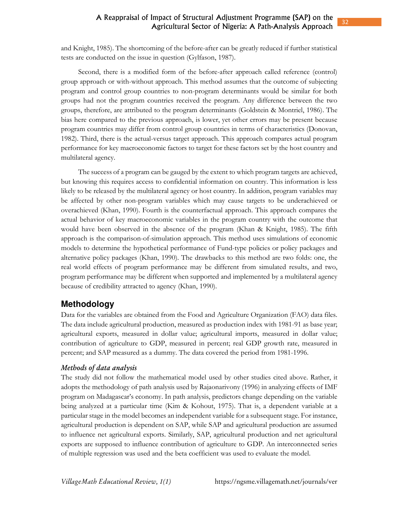and Knight, 1985). The shortcoming of the before-after can be greatly reduced if further statistical tests are conducted on the issue in question (Gylfason, 1987).

Second, there is a modified form of the before-after approach called reference (control) group approach or with-without approach. This method assumes that the outcome of subjecting program and control group countries to non-program determinants would be similar for both groups had not the program countries received the program. Any difference between the two groups, therefore, are attributed to the program determinants (Goldstein & Montriel, 1986). The bias here compared to the previous approach, is lower, yet other errors may be present because program countries may differ from control group countries in terms of characteristics (Donovan, 1982). Third, there is the actual-versus target approach. This approach compares actual program performance for key macroeconomic factors to target for these factors set by the host country and multilateral agency.

The success of a program can be gauged by the extent to which program targets are achieved, but knowing this requires access to confidential information on country. This information is less likely to be released by the multilateral agency or host country. In addition, program variables may be affected by other non-program variables which may cause targets to be underachieved or overachieved (Khan, 1990). Fourth is the counterfactual approach. This approach compares the actual behavior of key macroeconomic variables in the program country with the outcome that would have been observed in the absence of the program (Khan & Knight, 1985). The fifth approach is the comparison-of-simulation approach. This method uses simulations of economic models to determine the hypothetical performance of Fund-type policies or policy packages and alternative policy packages (Khan, 1990). The drawbacks to this method are two folds: one, the real world effects of program performance may be different from simulated results, and two, program performance may be different when supported and implemented by a multilateral agency because of credibility attracted to agency (Khan, 1990).

# **Methodology**

Data for the variables are obtained from the Food and Agriculture Organization (FAO) data files. The data include agricultural production, measured as production index with 1981-91 as base year; agricultural exports, measured in dollar value; agricultural imports, measured in dollar value; contribution of agriculture to GDP, measured in percent; real GDP growth rate, measured in percent; and SAP measured as a dummy. The data covered the period from 1981-1996.

### *ethds f data a aysis*

The study did not follow the mathematical model used by other studies cited above. Rather, it adopts the methodology of path analysis used by Rajaonarivony (1996) in analyzing effects of IMF program on Madagascar's economy. In path analysis, predictors change depending on the variable being analyzed at a particular time (Kim & Kohout, 1975). That is, a dependent variable at a particular stage in the model becomes an independent variable for a subsequent stage. For instance, agricultural production is dependent on SAP, while SAP and agricultural production are assumed to influence net agricultural exports. Similarly, SAP, agricultural production and net agricultural exports are supposed to influence contribution of agriculture to GDP. An interconnected series of multiple regression was used and the beta coefficient was used to evaluate the model.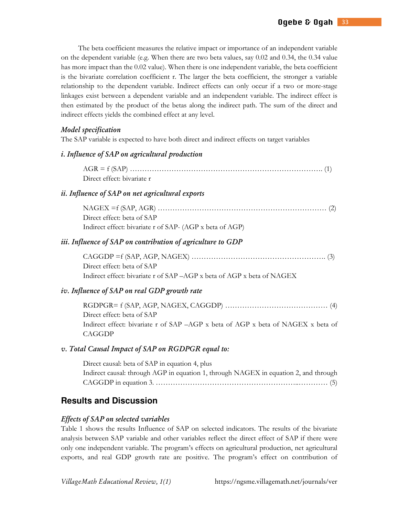The beta coefficient measures the relative impact or importance of an independent variable on the dependent variable (e.g. When there are two beta values, say 0.02 and 0.34, the 0.34 value has more impact than the 0.02 value). When there is one independent variable, the beta coefficient is the bivariate correlation coefficient r. The larger the beta coefficient, the stronger a variable relationship to the dependent variable. Indirect effects can only occur if a two or more-stage linkages exist between a dependent variable and an independent variable. The indirect effect is then estimated by the product of the betas along the indirect path. The sum of the direct and indirect effects yields the combined effect at any level.

### *Model specification*

The SAP variable is expected to have both direct and indirect effects on target variables

#### *i***.** Influence of SAP on agricultural production

| Direct effect: bivariate r |  |
|----------------------------|--|

### *ii. Influence of SAP on net agricultural exports*

| $NAGEX = f(SAP, AGR) \dots (2)$                          |  |
|----------------------------------------------------------|--|
| Direct effect: beta of SAP                               |  |
| Indirect effect: bivariate r of SAP- (AGP x beta of AGP) |  |

#### *iii. Influence of SAP on contribution of agriculture to GDP*

| Direct effect: beta of SAP                                             |
|------------------------------------------------------------------------|
| Indirect effect: bivariate r of SAP -AGP x beta of AGP x beta of NAGEX |

### *iv. Influence of SAP on real GDP growth rate*

| Direct effect: beta of SAP                                                       |  |
|----------------------------------------------------------------------------------|--|
| Indirect effect: bivariate r of SAP –AGP x beta of AGP x beta of NAGEX x beta of |  |
| CAGGDP                                                                           |  |

#### *v. Total Causal Impact of SAP on RGDPGR equal to:*

| Direct causal: beta of SAP in equation 4, plus                                       |
|--------------------------------------------------------------------------------------|
| Indirect causal: through AGP in equation 1, through NAGEX in equation 2, and through |
|                                                                                      |

# **Results and Discussion**

#### *Effects of SAP on selected variables*

Table 1 shows the results Influence of SAP on selected indicators. The results of the bivariate analysis between SAP variable and other variables reflect the direct effect of SAP if there were only one independent variable. The program's effects on agricultural production, net agricultural exports, and real GDP growth rate are positive. The program's effect on contribution of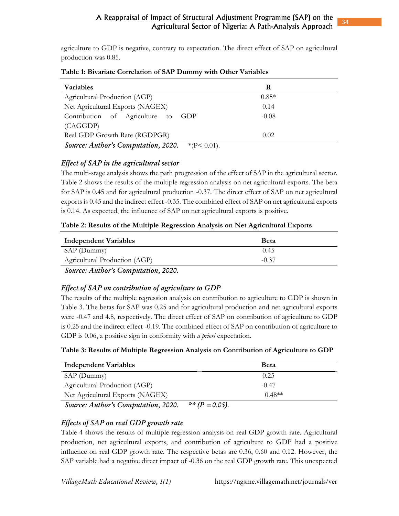agriculture to GDP is negative, contrary to expectation. The direct effect of SAP on agricultural production was 0.85.

| <b>Variables</b>                                   | R       |  |
|----------------------------------------------------|---------|--|
| Agricultural Production (AGP)                      | $0.85*$ |  |
| Net Agricultural Exports (NAGEX)                   | 0.14    |  |
| Contribution of Agriculture to<br>GDP              | $-0.08$ |  |
| (CAGGDP)                                           |         |  |
| Real GDP Growth Rate (RGDPGR)                      | 0.02    |  |
| Source: Author's Computation 2020<br>* $(P< 0.01)$ |         |  |

## **Table 1: Bivariate Correlation of SAP Dummy with Other Variables**

**Source:** Author's Computation, 2020.  $*(P < 0.01)$ .

# *Effect of SAP in the agricultural sector*

The multi-stage analysis shows the path progression of the effect of SAP in the agricultural sector. Table 2 shows the results of the multiple regression analysis on net agricultural exports. The beta for SAP is 0.45 and for agricultural production -0.37. The direct effect of SAP on net agricultural exports is 0.45 and the indirect effect -0.35. The combined effect of SAP on net agricultural exports is 0.14. As expected, the influence of SAP on net agricultural exports is positive.

| Table 2: Results of the Multiple Regression Analysis on Net Agricultural Exports |  |  |  |
|----------------------------------------------------------------------------------|--|--|--|
|                                                                                  |  |  |  |

| <b>Independent Variables</b>  | <b>Beta</b> |
|-------------------------------|-------------|
| SAP (Dummy)                   | 0.45        |
| Agricultural Production (AGP) | $-0.37$     |
|                               |             |

*Source: Author's Computation, 2020.* 

# *Effect of SAP on contribution of agriculture to GDP*

The results of the multiple regression analysis on contribution to agriculture to GDP is shown in Table 3. The betas for SAP was 0.25 and for agricultural production and net agricultural exports were -0.47 and 4.8, respectively. The direct effect of SAP on contribution of agriculture to GDP is 0.25 and the indirect effect -0.19. The combined effect of SAP on contribution of agriculture to GDP is 0.06, a positive sign in conformity with *a priori* expectation.

| Table 3: Results of Multiple Regression Analysis on Contribution of Agriculture to GDP |  |  |  |
|----------------------------------------------------------------------------------------|--|--|--|
|                                                                                        |  |  |  |

| <b>Independent Variables</b>                                                                                                                                                                                                                                                                                                                                                                           | <b>Beta</b> |
|--------------------------------------------------------------------------------------------------------------------------------------------------------------------------------------------------------------------------------------------------------------------------------------------------------------------------------------------------------------------------------------------------------|-------------|
| SAP (Dummy)                                                                                                                                                                                                                                                                                                                                                                                            | 0.25        |
| Agricultural Production (AGP)                                                                                                                                                                                                                                                                                                                                                                          | $-0.47$     |
| Net Agricultural Exports (NAGEX)                                                                                                                                                                                                                                                                                                                                                                       | $0.48**$    |
| $\overline{C}$ $\overline{A}$ $\overline{A}$ $\overline{C}$ $\overline{C}$ $\overline{C}$ $\overline{C}$ $\overline{C}$ $\overline{C}$ $\overline{C}$ $\overline{C}$ $\overline{C}$ $\overline{C}$ $\overline{C}$ $\overline{C}$ $\overline{C}$ $\overline{C}$ $\overline{C}$ $\overline{C}$ $\overline{C}$ $\overline{C}$ $\overline{C}$ $\overline{C}$ $\overline{C}$ $\overline{$<br>$44.7D - 2.21$ |             |

*Source: Author's Computation, 2020.* \*\* *(P = 0.05).* 

# *Effects of SAP on real GDP growth rate*

Table 4 shows the results of multiple regression analysis on real GDP growth rate. Agricultural production, net agricultural exports, and contribution of agriculture to GDP had a positive influence on real GDP growth rate. The respective betas are 0.36, 0.60 and 0.12. However, the SAP variable had a negative direct impact of -0.36 on the real GDP growth rate. This unexpected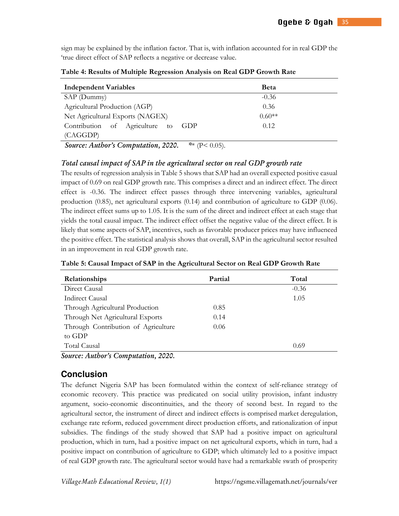sign may be explained by the inflation factor. That is, with inflation accounted for in real GDP the 'true direct effect of SAP reflects a negative or decrease value.

| <b>Independent Variables</b>          | Beta     |
|---------------------------------------|----------|
| SAP (Dummy)                           | $-0.36$  |
| Agricultural Production (AGP)         | 0.36     |
| Net Agricultural Exports (NAGEX)      | $0.60**$ |
| Contribution of Agriculture to<br>GDP | 0.12     |
| (CAGGDP)                              |          |

**Table 4: Results of Multiple Regression Analysis on Real GDP Growth Rate** 

*Source: Author's Computation, 2020.* \*\* (P< 0.05).

## *Total causal impact of SAP in the agricultural sector on real GDP growth rate*

The results of regression analysis in Table 5 shows that SAP had an overall expected positive casual impact of 0.69 on real GDP growth rate. This comprises a direct and an indirect effect. The direct effect is -0.36. The indirect effect passes through three intervening variables, agricultural production (0.85), net agricultural exports (0.14) and contribution of agriculture to GDP (0.06). The indirect effect sums up to 1.05. It is the sum of the direct and indirect effect at each stage that yields the total causal impact. The indirect effect offset the negative value of the direct effect. It is likely that some aspects of SAP, incentives, such as favorable producer prices may have influenced the positive effect. The statistical analysis shows that overall, SAP in the agricultural sector resulted in an improvement in real GDP growth rate.

| Partial | Total   |
|---------|---------|
|         | $-0.36$ |
|         | 1.05    |
| 0.85    |         |
| 0.14    |         |
| 0.06    |         |
|         |         |
|         | 0.69    |
|         |         |

**Table 5: Causal Impact of SAP in the Agricultural Sector on Real GDP Growth Rate** 

*Source: Author's Computation, 2020.* 

# **Conclusion**

The defunct Nigeria SAP has been formulated within the context of self-reliance strategy of economic recovery. This practice was predicated on social utility provision, infant industry argument, socio-economic discontinuities, and the theory of second best. In regard to the agricultural sector, the instrument of direct and indirect effects is comprised market deregulation, exchange rate reform, reduced government direct production efforts, and rationalization of input subsidies. The findings of the study showed that SAP had a positive impact on agricultural production, which in turn, had a positive impact on net agricultural exports, which in turn, had a positive impact on contribution of agriculture to GDP; which ultimately led to a positive impact of real GDP growth rate. The agricultural sector would have had a remarkable swath of prosperity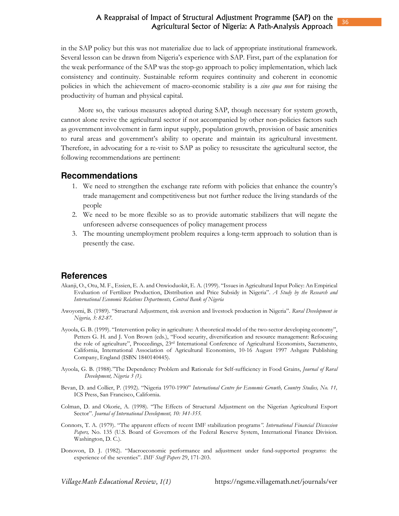## A Reappraisal of Impact of Structural Adjustment Programme (SAP) on the Agricultural Sector of Nigeria: A Path-Analysis Approach

in the SAP policy but this was not materialize due to lack of appropriate institutional framework. Several lesson can be drawn from Nigeria's experience with SAP. First, part of the explanation for the weak performance of the SAP was the stop-go approach to policy implementation, which lack consistency and continuity. Sustainable reform requires continuity and coherent in economic policies in which the achievement of macro-economic stability is a *sine qua non* for raising the productivity of human and physical capital.

More so, the various measures adopted during SAP, though necessary for system growth, cannot alone revive the agricultural sector if not accompanied by other non-policies factors such as government involvement in farm input supply, population growth, provision of basic amenities to rural areas and government's ability to operate and maintain its agricultural investment. Therefore, in advocating for a re-visit to SAP as policy to resuscitate the agricultural sector, the following recommendations are pertinent:

#### **Recommendations**

- 1. We need to strengthen the exchange rate reform with policies that enhance the country's trade management and competitiveness but not further reduce the living standards of the people
- 2. We need to be more flexible so as to provide automatic stabilizers that will negate the unforeseen adverse consequences of policy management process
- 3. The mounting unemployment problem requires a long-term approach to solution than is presently the case.

## **References**

- Akanji, O., Otu, M. F., Essien, E. A. and Onwioduokit, E. A. (1999). "Issues in Agricultural Input Policy: An Empirical Evaluation of Fertilizer Production, Distribution and Price Subsidy in Nigeria". *A Study by the Research and International Economic Relations Departments, Central Bank of Nigeria*
- Awoyomi, B. (1989). "Structural Adjustment, risk aversion and livestock production in Nigeria". *Rural Development in Nigeria, 3: 82-87.*
- Ayoola, G. B. (1999). "Intervention policy in agriculture: A theoretical model of the two-sector developing economy", Petters G. H. and J. Von Brown (eds.), "Food security, diversification and resource management: Refocusing the role of agriculture", Proceedings, 23rd International Conference of Agricultural Economists, Sacramento, California, International Association of Agricultural Economists, 10-16 August 1997 Ashgate Publishing Company, England (ISBN 1840140445).
- Ayoola, G. B. (1988)."The Dependency Problem and Rationale for Self-sufficiency in Food Grains, *Journal of Rural Development, Nigeria 3 (1).*
- Bevan, D. and Collier, P. (1992). "Nigeria 1970-1990" *International Centre for Economic Growth, Country Studies, No. 11,* ICS Press, San Francisco, California.
- Colman, D. and Okorie, A. (1998). "The Effects of Structural Adjustment on the Nigerian Agricultural Export Sector". *Journal of International Development, 10: 341-355.*
- Connors, T. A. (1979). "The apparent effects of recent IMF stabilization programs*". International Financial Discussion Papers,* No. 135 (U.S. Board of Governors of the Federal Reserve System, International Finance Division. Washington, D. C.).
- Donovon, D. J. (1982). "Macroeconomic performance and adjustment under fund-supported programs: the experience of the seventies". *IMF Staff Papers* 29, 171-203.